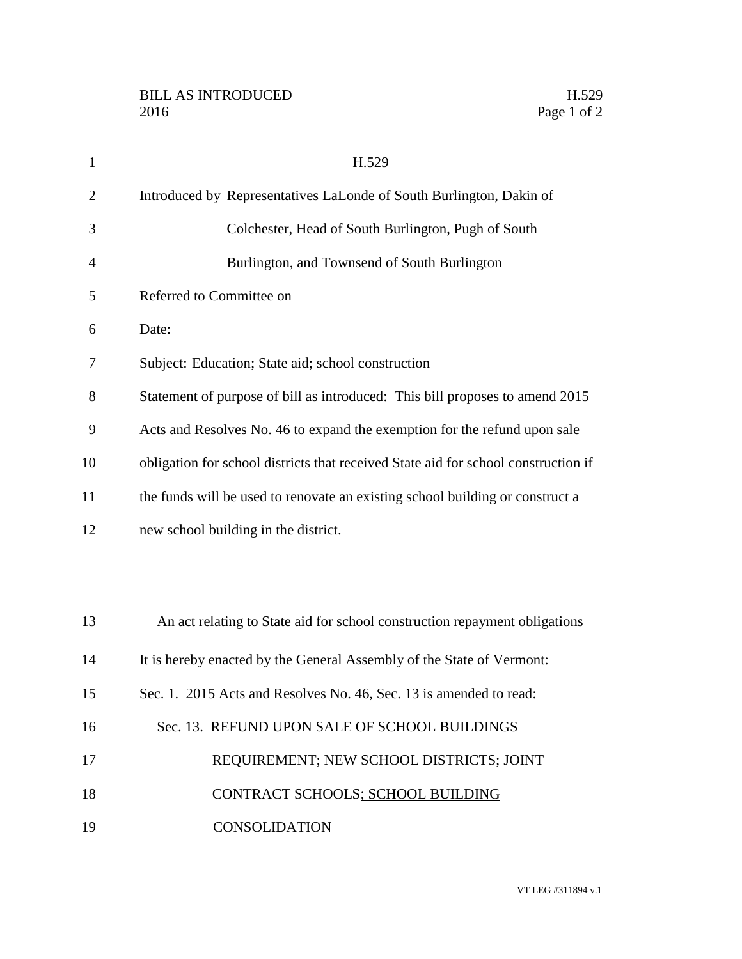| $\mathbf{1}$   | H.529                                                                              |
|----------------|------------------------------------------------------------------------------------|
| $\overline{2}$ | Introduced by Representatives LaLonde of South Burlington, Dakin of                |
| 3              | Colchester, Head of South Burlington, Pugh of South                                |
| 4              | Burlington, and Townsend of South Burlington                                       |
| 5              | Referred to Committee on                                                           |
| 6              | Date:                                                                              |
| 7              | Subject: Education; State aid; school construction                                 |
| 8              | Statement of purpose of bill as introduced: This bill proposes to amend 2015       |
| 9              | Acts and Resolves No. 46 to expand the exemption for the refund upon sale          |
| 10             | obligation for school districts that received State aid for school construction if |
| 11             | the funds will be used to renovate an existing school building or construct a      |
| 12             | new school building in the district.                                               |
|                |                                                                                    |
|                |                                                                                    |
| 13             | An act relating to State aid for school construction repayment obligations         |
| 14             | It is hereby enacted by the General Assembly of the State of Vermont:              |
| 15             | Sec. 1. 2015 Acts and Resolves No. 46, Sec. 13 is amended to read:                 |
| 16             | Sec. 13. REFUND UPON SALE OF SCHOOL BUILDINGS                                      |
| 17             | REQUIREMENT; NEW SCHOOL DISTRICTS; JOINT                                           |
| 18             | CONTRACT SCHOOLS; SCHOOL BUILDING                                                  |
| 19             | <b>CONSOLIDATION</b>                                                               |